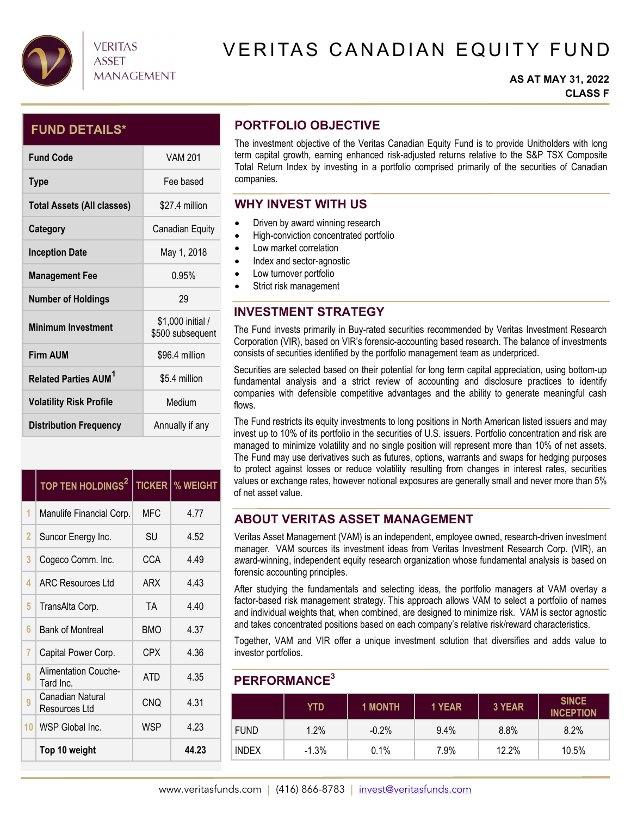

# VERITAS CANADIAN EQUITY FUND

#### **AS AT MAY 31, 2022 CLASS F**

## **FUND DETAILS\***

| <b>Fund Code</b>                       | <b>VAM 201</b>                        |
|----------------------------------------|---------------------------------------|
| <b>Type</b>                            | Fee based                             |
| Total Assets (All classes)             | \$27.4 million                        |
| Category                               | Canadian Equity                       |
| <b>Inception Date</b>                  | May 1, 2018                           |
| <b>Management Fee</b>                  | በ 95%                                 |
| <b>Number of Holdings</b>              | 29                                    |
| <b>Minimum Investment</b>              | \$1,000 initial /<br>\$500 subsequent |
| <b>Firm AUM</b>                        | \$96.4 million                        |
| <b>Related Parties AUM<sup>1</sup></b> | \$5.4 million                         |
| <b>Volatility Risk Profile</b>         | Medium                                |
| <b>Distribution Frequency</b>          | Annually if any                       |

|    | TOP TEN HOLDINGS <sup>2</sup>            |            | <b>TICKER   % WEIGHT</b> |
|----|------------------------------------------|------------|--------------------------|
| 1  | Manulife Financial Corp.                 | MFC        | 4.77                     |
| 2  | Suncor Energy Inc.                       | SU         | 4.52                     |
| 3  | Cogeco Comm. Inc.                        | CCA        | 4.49                     |
| 4  | <b>ARC Resources Ltd</b>                 | ARX        | 4.43                     |
| 5  | TransAlta Corp.                          | <b>TA</b>  | 4.40                     |
| 6  | <b>Bank of Montreal</b>                  | <b>BMO</b> | 4.37                     |
| 7  | Capital Power Corp.                      | CPX        | 4.36                     |
| 8  | <b>Alimentation Couche-</b><br>Tard Inc. | <b>ATD</b> | 4.35                     |
| 9  | Canadian Natural<br>Resources Ltd        | <b>CNQ</b> | 4.31                     |
| 10 | WSP Global Inc.                          | WSP        | 4.23                     |
|    | Top 10 weight                            |            | 44.23                    |

## **PORTFOLIO OBJECTIVE**

The investment objective of the Veritas Canadian Equity Fund is to provide Unitholders with long term capital growth, earning enhanced risk-adjusted returns relative to the S&P TSX Composite Total Return Index by investing in a portfolio comprised primarily of the securities of Canadian companies.

## **WHY INVEST WITH US**

- Driven by award winning research
- $\bullet$  High-conviction concentrated portfolio
- Low market correlation
- Index and sector-agnostic
- Low turnover portfolio
- Strict risk management

# **INVESTMENT STRATEGY**

The Fund invests primarily in Buy-rated securities recommended by Veritas Investment Research Corporation (VIR), based on VIR's forensic-accounting based research. The balance of investments consists of securities identified by the portfolio management team as underpriced.

Securities are selected based on their potential for long term capital appreciation, using bottom-up fundamental analysis and a strict review of accounting and disclosure practices to identify companies with defensible competitive advantages and the ability to generate meaningful cash flows.

The Fund restricts its equity investments to long positions in North American listed issuers and may invest up to 10% of its portfolio in the securities of U.S. issuers. Portfolio concentration and risk are managed to minimize volatility and no single position will represent more than 10% of net assets. The Fund may use derivatives such as futures, options, warrants and swaps for hedging purposes to protect against losses or reduce volatility resulting from changes in interest rates, securities values or exchange rates, however notional exposures are generally small and never more than 5% of net asset value.

## **ABOUT VERITAS ASSET MANAGEMENT**

Veritas Asset Management (VAM) is an independent, employee owned, research-driven investment manager. VAM sources its investment ideas from Veritas Investment Research Corp. (VIR), an award-winning, independent equity research organization whose fundamental analysis is based on forensic accounting principles.

After studying the fundamentals and selecting ideas, the portfolio managers at VAM overlay a factor-based risk management strategy. This approach allows VAM to select a portfolio of names and individual weights that, when combined, are designed to minimize risk. VAM is sector agnostic and takes concentrated positions based on each company's relative risk/reward characteristics.

Together, VAM and VIR offer a unique investment solution that diversifies and adds value to investor portfolios.

## **PERFORMANCE3**

|              | <b>YTD</b> | <b>1 MONTH</b> | 1 YEAR | 3 YEAR | <b>SINCE</b><br><b>INCEPTION</b> |
|--------------|------------|----------------|--------|--------|----------------------------------|
| <b>FUND</b>  | 1.2%       | $-0.2\%$       | 9.4%   | 8.8%   | 8.2%                             |
| <b>INDEX</b> | $-1.3%$    | 0.1%           | 7.9%   | 12.2%  | 10.5%                            |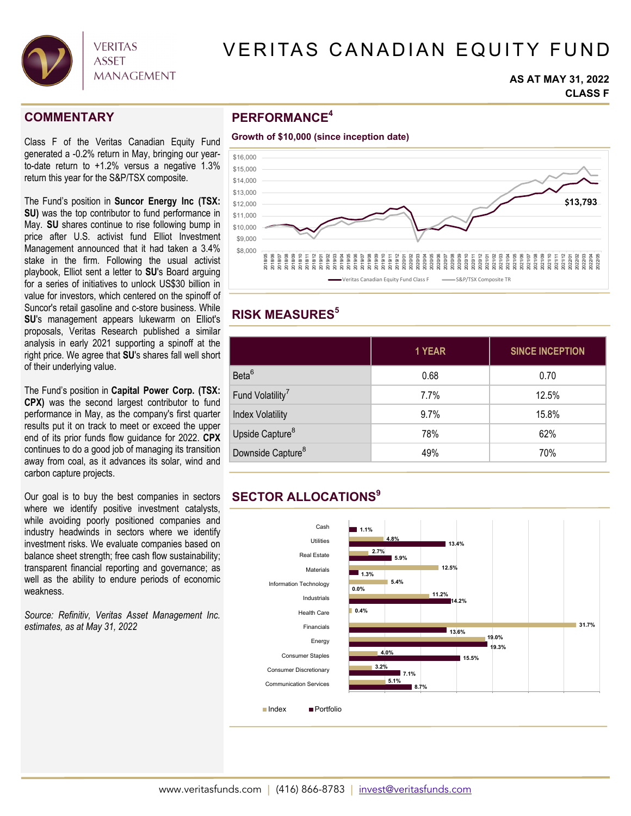

# VERITAS CANADIAN EQUITY FUND

#### **AS AT MAY 31, 2022 CLASS F**

### **COMMENTARY**

Class F of the Veritas Canadian Equity Fund generated a -0.2% return in May, bringing our yearto-date return to +1.2% versus a negative 1.3% return this year for the S&P/TSX composite.

The Fund's position in **Suncor Energy Inc (TSX: SU)** was the top contributor to fund performance in May. **SU** shares continue to rise following bump in price after U.S. activist fund Elliot Investment Management announced that it had taken a 3.4% stake in the firm. Following the usual activist playbook, Elliot sent a letter to **SU**'s Board arguing for a series of initiatives to unlock US\$30 billion in value for investors, which centered on the spinoff of Suncor's retail gasoline and c-store business. While **SU**'s management appears lukewarm on Elliot's proposals, Veritas Research published a similar analysis in early 2021 supporting a spinoff at the right price. We agree that **SU**'s shares fall well short of their underlying value.

The Fund's position in **Capital Power Corp. (TSX: CPX)** was the second largest contributor to fund performance in May, as the company's first quarter results put it on track to meet or exceed the upper end of its prior funds flow guidance for 2022. **CPX**  continues to do a good job of managing its transition away from coal, as it advances its solar, wind and carbon capture projects.

Our goal is to buy the best companies in sectors where we identify positive investment catalysts, while avoiding poorly positioned companies and industry headwinds in sectors where we identify investment risks. We evaluate companies based on balance sheet strength; free cash flow sustainability; transparent financial reporting and governance; as well as the ability to endure periods of economic weakness.

*Source: Refinitiv, Veritas Asset Management Inc. estimates, as at May 31, 2022* 

## **PERFORMANCE4**





## **RISK MEASURES5**

|                               | 1 YEAR | <b>SINCE INCEPTION</b> |
|-------------------------------|--------|------------------------|
| Beta <sup>6</sup>             | 0.68   | 0.70                   |
| Fund Volatility <sup>7</sup>  | 7.7%   | 12.5%                  |
| <b>Index Volatility</b>       | 9.7%   | 15.8%                  |
| Upside Capture <sup>8</sup>   | 78%    | 62%                    |
| Downside Capture <sup>8</sup> | 49%    | 70%                    |

# **SECTOR ALLOCATIONS9**